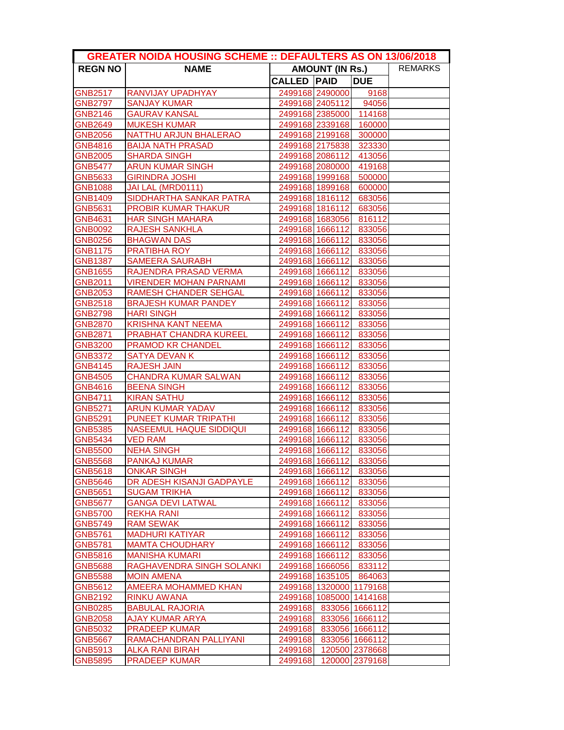|                | <b>GREATER NOIDA HOUSING SCHEME :: DEFAULTERS AS ON 13/06/2018</b> |                    |                         |                |  |  |
|----------------|--------------------------------------------------------------------|--------------------|-------------------------|----------------|--|--|
| <b>REGN NO</b> | <b>NAME</b>                                                        |                    | <b>AMOUNT (IN Rs.)</b>  |                |  |  |
|                |                                                                    | <b>CALLED PAID</b> |                         | <b>DUE</b>     |  |  |
| <b>GNB2517</b> | RANVIJAY UPADHYAY                                                  |                    | 2499168 2490000         | 9168           |  |  |
| <b>GNB2797</b> | <b>SANJAY KUMAR</b>                                                |                    | 2499168 2405112         | 94056          |  |  |
| <b>GNB2146</b> | <b>GAURAV KANSAL</b>                                               |                    | 2499168 2385000 114168  |                |  |  |
| <b>GNB2649</b> | <b>MUKESH KUMAR</b>                                                |                    | 2499168 2339168 160000  |                |  |  |
| <b>GNB2056</b> | NATTHU ARJUN BHALERAO                                              |                    | 2499168 2199168         | 300000         |  |  |
| GNB4816        | <b>BAIJA NATH PRASAD</b>                                           |                    | 2499168 2175838         | 323330         |  |  |
| GNB2005        | <b>SHARDA SINGH</b>                                                |                    | 2499168 2086112         | 413056         |  |  |
| <b>GNB5477</b> | <b>ARUN KUMAR SINGH</b>                                            |                    | 2499168 2080000         | 419168         |  |  |
| GNB5633        | <b>GIRINDRA JOSHI</b>                                              |                    | 2499168 1999168         | 500000         |  |  |
| <b>GNB1088</b> | JAI LAL (MRD0111)                                                  |                    | 2499168 1899168         | 600000         |  |  |
| <b>GNB1409</b> | SIDDHARTHA SANKAR PATRA                                            |                    | 2499168 1816112 683056  |                |  |  |
| GNB5631        | <b>PROBIR KUMAR THAKUR</b>                                         |                    | 2499168 1816112         | 683056         |  |  |
| GNB4631        | <b>HAR SINGH MAHARA</b>                                            |                    | 2499168 1683056 816112  |                |  |  |
| <b>GNB0092</b> | <b>RAJESH SANKHLA</b>                                              |                    | 2499168 1666112         | 833056         |  |  |
| <b>GNB0256</b> | <b>BHAGWAN DAS</b>                                                 |                    | 2499168 1666112         | 833056         |  |  |
| <b>GNB1175</b> | PRATIBHA ROY                                                       |                    | 2499168 1666112         | 833056         |  |  |
| GNB1387        | <b>SAMEERA SAURABH</b>                                             |                    | 2499168 1666112         | 833056         |  |  |
| <b>GNB1655</b> | RAJENDRA PRASAD VERMA                                              |                    | 2499168 1666112         | 833056         |  |  |
| GNB2011        | <b>VIRENDER MOHAN PARNAMI</b>                                      |                    | 2499168 1666112         | 833056         |  |  |
| <b>GNB2053</b> | <b>RAMESH CHANDER SEHGAL</b>                                       |                    | 2499168 1666112         | 833056         |  |  |
| <b>GNB2518</b> | <b>BRAJESH KUMAR PANDEY</b>                                        |                    | 2499168 1666112 833056  |                |  |  |
| <b>GNB2798</b> | <b>HARI SINGH</b>                                                  |                    | 2499168 1666112 833056  |                |  |  |
| <b>GNB2870</b> | <b>KRISHNA KANT NEEMA</b>                                          |                    | 2499168 1666112 833056  |                |  |  |
| <b>GNB2871</b> | PRABHAT CHANDRA KUREEL                                             |                    | 2499168 1666112 833056  |                |  |  |
| <b>GNB3200</b> | PRAMOD KR CHANDEL                                                  |                    | 2499168 1666112 833056  |                |  |  |
| <b>GNB3372</b> | <b>SATYA DEVAN K</b>                                               |                    | 2499168 1666112         | 833056         |  |  |
| GNB4145        | <b>RAJESH JAIN</b>                                                 |                    | 2499168 1666112         | 833056         |  |  |
| GNB4505        | <b>CHANDRA KUMAR SALWAN</b>                                        |                    | 2499168 1666112         | 833056         |  |  |
| GNB4616        | <b>BEENA SINGH</b>                                                 |                    | 2499168 1666112         | 833056         |  |  |
| <b>GNB4711</b> | <b>KIRAN SATHU</b>                                                 |                    | 2499168 1666112         | 833056         |  |  |
| <b>GNB5271</b> | <b>ARUN KUMAR YADAV</b>                                            |                    | 2499168 1666112 833056  |                |  |  |
| <b>GNB5291</b> | PUNEET KUMAR TRIPATHI                                              |                    | 2499168 1666112 833056  |                |  |  |
| <b>GNB5385</b> | <b>NASEEMUL HAQUE SIDDIQUI</b>                                     |                    | 2499168 1666112 833056  |                |  |  |
| <b>GNB5434</b> | <b>VED RAM</b>                                                     |                    | 2499168 1666112 833056  |                |  |  |
| <b>GNB5500</b> | <b>NEHA SINGH</b>                                                  |                    | 2499168 1666112         | 833056         |  |  |
| <b>GNB5568</b> | <b>PANKAJ KUMAR</b>                                                |                    | 2499168 1666112 833056  |                |  |  |
| <b>GNB5618</b> | <b>ONKAR SINGH</b>                                                 |                    | 2499168 1666112         | 833056         |  |  |
| GNB5646        | DR ADESH KISANJI GADPAYLE                                          |                    | 2499168 1666112         | 833056         |  |  |
| GNB5651        | <b>SUGAM TRIKHA</b>                                                |                    | 2499168 1666112         | 833056         |  |  |
| <b>GNB5677</b> | <b>GANGA DEVI LATWAL</b>                                           |                    | 2499168 1666112         | 833056         |  |  |
| <b>GNB5700</b> | <b>REKHA RANI</b>                                                  |                    | 2499168 1666112         | 833056         |  |  |
| <b>GNB5749</b> | <b>RAM SEWAK</b>                                                   |                    | 2499168 1666112         | 833056         |  |  |
| <b>GNB5761</b> | <b>MADHURI KATIYAR</b>                                             |                    | 2499168 1666112         | 833056         |  |  |
| <b>GNB5781</b> | <b>MAMTA CHOUDHARY</b>                                             |                    | 2499168 1666112         | 833056         |  |  |
| <b>GNB5816</b> | <b>MANISHA KUMARI</b>                                              |                    | 2499168 1666112         | 833056         |  |  |
| <b>GNB5688</b> | RAGHAVENDRA SINGH SOLANKI                                          |                    | 2499168 1666056         | 833112         |  |  |
| <b>GNB5588</b> | <b>MOIN AMENA</b>                                                  |                    | 2499168 1635105         | 864063         |  |  |
| GNB5612        | AMEERA MOHAMMED KHAN                                               |                    | 2499168 1320000 1179168 |                |  |  |
| GNB2192        | <b>RINKU AWANA</b>                                                 |                    | 2499168 1085000 1414168 |                |  |  |
| <b>GNB0285</b> | <b>BABULAL RAJORIA</b>                                             | 2499168            |                         | 833056 1666112 |  |  |
| GNB2058        | <b>AJAY KUMAR ARYA</b>                                             | 2499168            |                         | 833056 1666112 |  |  |
| GNB5032        | <b>PRADEEP KUMAR</b>                                               | 2499168            |                         | 833056 1666112 |  |  |
| <b>GNB5667</b> | RAMACHANDRAN PALLIYANI                                             | 2499168            |                         | 833056 1666112 |  |  |
| GNB5913        | <b>ALKA RANI BIRAH</b>                                             | 2499168            |                         | 120500 2378668 |  |  |
| <b>GNB5895</b> | <b>PRADEEP KUMAR</b>                                               | 2499168            |                         | 120000 2379168 |  |  |